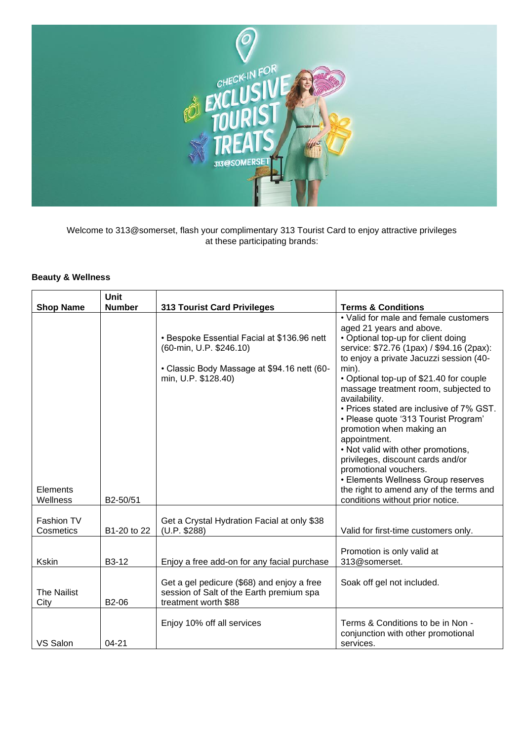

Welcome to 313@somerset, flash your complimentary 313 Tourist Card to enjoy attractive privileges at these participating brands:

## **Beauty & Wellness**

|                                         | <b>Unit</b>          |                                                                                                                                              |                                                                                                                                                                                                                                                                                                                                                                                                                                                                                                                                                                                                                                                                       |
|-----------------------------------------|----------------------|----------------------------------------------------------------------------------------------------------------------------------------------|-----------------------------------------------------------------------------------------------------------------------------------------------------------------------------------------------------------------------------------------------------------------------------------------------------------------------------------------------------------------------------------------------------------------------------------------------------------------------------------------------------------------------------------------------------------------------------------------------------------------------------------------------------------------------|
| <b>Shop Name</b>                        | <b>Number</b>        | <b>313 Tourist Card Privileges</b>                                                                                                           | <b>Terms &amp; Conditions</b>                                                                                                                                                                                                                                                                                                                                                                                                                                                                                                                                                                                                                                         |
| Elements<br>Wellness                    | B2-50/51             | • Bespoke Essential Facial at \$136.96 nett<br>(60-min, U.P. \$246.10)<br>• Classic Body Massage at \$94.16 nett (60-<br>min, U.P. \$128.40) | • Valid for male and female customers<br>aged 21 years and above.<br>• Optional top-up for client doing<br>service: \$72.76 (1pax) / \$94.16 (2pax):<br>to enjoy a private Jacuzzi session (40-<br>min).<br>• Optional top-up of \$21.40 for couple<br>massage treatment room, subjected to<br>availability.<br>• Prices stated are inclusive of 7% GST.<br>• Please quote '313 Tourist Program'<br>promotion when making an<br>appointment.<br>. Not valid with other promotions,<br>privileges, discount cards and/or<br>promotional vouchers.<br>• Elements Wellness Group reserves<br>the right to amend any of the terms and<br>conditions without prior notice. |
| Fashion TV<br>Cosmetics<br><b>Kskin</b> | B1-20 to 22<br>B3-12 | Get a Crystal Hydration Facial at only \$38<br>(U.P. \$288)<br>Enjoy a free add-on for any facial purchase                                   | Valid for first-time customers only.<br>Promotion is only valid at<br>313@somerset.                                                                                                                                                                                                                                                                                                                                                                                                                                                                                                                                                                                   |
| <b>The Nailist</b><br>City              | B2-06                | Get a gel pedicure (\$68) and enjoy a free<br>session of Salt of the Earth premium spa<br>treatment worth \$88                               | Soak off gel not included.                                                                                                                                                                                                                                                                                                                                                                                                                                                                                                                                                                                                                                            |
| VS Salon                                | $04 - 21$            | Enjoy 10% off all services                                                                                                                   | Terms & Conditions to be in Non -<br>conjunction with other promotional<br>services.                                                                                                                                                                                                                                                                                                                                                                                                                                                                                                                                                                                  |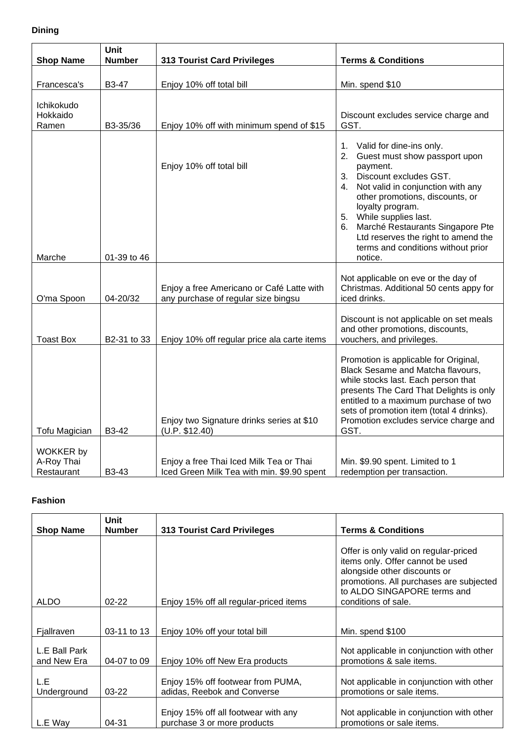# **Dining**

| <b>Shop Name</b>                             | Unit<br><b>Number</b>    | <b>313 Tourist Card Privileges</b>                                                    | <b>Terms &amp; Conditions</b>                                                                                                                                                                                                                                                                                                                                                    |
|----------------------------------------------|--------------------------|---------------------------------------------------------------------------------------|----------------------------------------------------------------------------------------------------------------------------------------------------------------------------------------------------------------------------------------------------------------------------------------------------------------------------------------------------------------------------------|
| Francesca's                                  | B3-47                    | Enjoy 10% off total bill                                                              | Min. spend \$10                                                                                                                                                                                                                                                                                                                                                                  |
| Ichikokudo<br>Hokkaido<br>Ramen              | B3-35/36                 | Enjoy 10% off with minimum spend of \$15                                              | Discount excludes service charge and<br>GST.                                                                                                                                                                                                                                                                                                                                     |
| Marche                                       | 01-39 to 46              | Enjoy 10% off total bill                                                              | Valid for dine-ins only.<br>1.<br>Guest must show passport upon<br>2.<br>payment.<br>Discount excludes GST.<br>3.<br>Not valid in conjunction with any<br>4.<br>other promotions, discounts, or<br>loyalty program.<br>5. While supplies last.<br>Marché Restaurants Singapore Pte<br>6.<br>Ltd reserves the right to amend the<br>terms and conditions without prior<br>notice. |
| O'ma Spoon                                   | 04-20/32                 | Enjoy a free Americano or Café Latte with<br>any purchase of regular size bingsu      | Not applicable on eve or the day of<br>Christmas. Additional 50 cents appy for<br>iced drinks.                                                                                                                                                                                                                                                                                   |
| <b>Toast Box</b>                             | B <sub>2</sub> -31 to 33 | Enjoy 10% off regular price ala carte items                                           | Discount is not applicable on set meals<br>and other promotions, discounts,<br>vouchers, and privileges.                                                                                                                                                                                                                                                                         |
| <b>Tofu Magician</b>                         | B3-42                    | Enjoy two Signature drinks series at \$10<br>(U.P. \$12.40)                           | Promotion is applicable for Original,<br>Black Sesame and Matcha flavours,<br>while stocks last. Each person that<br>presents The Card That Delights is only<br>entitled to a maximum purchase of two<br>sets of promotion item (total 4 drinks).<br>Promotion excludes service charge and<br>GST.                                                                               |
| <b>WOKKER by</b><br>A-Roy Thai<br>Restaurant | B3-43                    | Enjoy a free Thai Iced Milk Tea or Thai<br>Iced Green Milk Tea with min. \$9.90 spent | Min. \$9.90 spent. Limited to 1<br>redemption per transaction.                                                                                                                                                                                                                                                                                                                   |

### **Fashion**

|                              | <b>Unit</b>   |                                                                    |                                                                                                                                                                                                            |
|------------------------------|---------------|--------------------------------------------------------------------|------------------------------------------------------------------------------------------------------------------------------------------------------------------------------------------------------------|
| <b>Shop Name</b>             | <b>Number</b> | <b>313 Tourist Card Privileges</b>                                 | <b>Terms &amp; Conditions</b>                                                                                                                                                                              |
| <b>ALDO</b>                  | $02 - 22$     | Enjoy 15% off all regular-priced items                             | Offer is only valid on regular-priced<br>items only. Offer cannot be used<br>alongside other discounts or<br>promotions. All purchases are subjected<br>to ALDO SINGAPORE terms and<br>conditions of sale. |
|                              |               |                                                                    |                                                                                                                                                                                                            |
| Fjallraven                   | 03-11 to 13   | Enjoy 10% off your total bill                                      | Min. spend \$100                                                                                                                                                                                           |
| L.E Ball Park<br>and New Era | 04-07 to 09   | Enjoy 10% off New Era products                                     | Not applicable in conjunction with other<br>promotions & sale items.                                                                                                                                       |
| L.E<br>Underground           | $03-22$       | Enjoy 15% off footwear from PUMA,<br>adidas, Reebok and Converse   | Not applicable in conjunction with other<br>promotions or sale items.                                                                                                                                      |
| L.E Way                      | $04 - 31$     | Enjoy 15% off all footwear with any<br>purchase 3 or more products | Not applicable in conjunction with other<br>promotions or sale items.                                                                                                                                      |